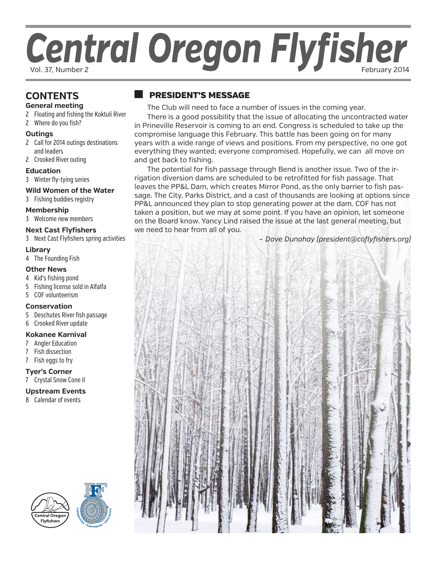# Central Oregon Flyfisher

# **CONTENTS**

- **General meeting**
- 2 Floating and fishing the Koktuli River
- 2 Where do you fish?

# **Outings**

- 2 Call for 2014 outings destinations and leaders
- 2 Crooked River outing

#### **Education**

3 Winter fly-tying series

#### **Wild Women of the Water**

3 Fishing buddies registry

# **Membership**

3 Welcome new members

# **Next Cast Flyfishers**

3 Next Cast Flyfishers spring activities

#### **Library**

4 The Founding Fish

# **Other News**

- 4 Kid's fishing pond
- 5 Fishing license sold in Alfalfa
- 5 COF volunteerism

#### **Conservation**

- 5 Deschutes River fish passage
- 6 Crooked River update

# **Kokanee Karnival**

- 7 Angler Education
- 7 Fish dissection
- 7 Fish eggs to fry

# **Tyer's Corner**

7 Crystal Snow Cone II

#### **Upstream Events**

8 Calendar of events





# president's message

The Club will need to face a number of issues in the coming year.

There is a good possibility that the issue of allocating the uncontracted water in Prineville Reservoir is coming to an end. Congress is scheduled to take up the compromise language this February. This battle has been going on for many years with a wide range of views and positions. From my perspective, no one got everything they wanted; everyone compromised. Hopefully, we can all move on and get back to fishing.

The potential for fish passage through Bend is another issue. Two of the irrigation diversion dams are scheduled to be retrofitted for fish passage. That leaves the PP&L Dam, which creates Mirror Pond, as the only barrier to fish passage. The City, Parks District, and a cast of thousands are looking at options since PP&L announced they plan to stop generating power at the dam. COF has not taken a position, but we may at some point. If you have an opinion, let someone on the Board know. Yancy Lind raised the issue at the last general meeting, but we need to hear from all of you.

*– Dave Dunahay (president@coflyfishers.org)*

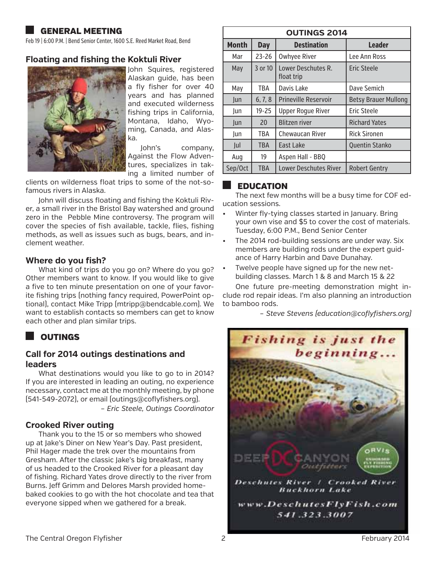# general meeting

Feb 19 | 6:00 P.M. | Bend Senior Center, 1600 S.E. Reed Market Road, Bend

# **Floating and fishing the Koktuli River**



John Squires, registered Alaskan guide, has been a fly fisher for over 40 years and has planned and executed wilderness fishing trips in California, Montana, Idaho, Wyoming, Canada, and Alaska.

John's company, Against the Flow Adventures, specializes in taking a limited number of

clients on wilderness float trips to some of the not-sofamous rivers in Alaska.

John will discuss floating and fishing the Koktuli River, a small river in the Bristol Bay watershed and ground zero in the Pebble Mine controversy. The program will cover the species of fish available, tackle, flies, fishing methods, as well as issues such as bugs, bears, and inclement weather.

# **Where do you fish?**

What kind of trips do you go on? Where do you go? Other members want to know. If you would like to give a five to ten minute presentation on one of your favorite fishing trips (nothing fancy required, PowerPoint optional), contact Mike Tripp (mtripp@bendcable.com). We want to establish contacts so members can get to know each other and plan similar trips.

# **OUTINGS**

# **Call for 2014 outings destinations and leaders**

What destinations would you like to go to in 2014? If you are interested in leading an outing, no experience necessary, contact me at the monthly meeting, by phone (541-549-2072), or email (outings@coflyfishers.org). *– Eric Steele, Outings Coordinator*

#### **Crooked River outing**

Thank you to the 15 or so members who showed up at Jake's Diner on New Year's Day. Past president, Phil Hager made the trek over the mountains from Gresham. After the classic Jake's big breakfast, many of us headed to the Crooked River for a pleasant day of fishing. Richard Yates drove directly to the river from Burns. Jeff Grimm and Delores Marsh provided homebaked cookies to go with the hot chocolate and tea that everyone sipped when we gathered for a break.

| <b>OUTINGS 2014</b> |            |                                                            |                       |  |  |
|---------------------|------------|------------------------------------------------------------|-----------------------|--|--|
| <b>Month</b>        | <b>Day</b> | <b>Destination</b>                                         | <b>Leader</b>         |  |  |
| Mar                 | $23 - 26$  | <b>Owhyee River</b>                                        | Lee Ann Ross          |  |  |
| May                 | 3 or 10    | Lower Deschutes R.<br>Eric Steele<br>float trip            |                       |  |  |
| May                 | <b>TBA</b> | Davis Lake<br>Dave Semich                                  |                       |  |  |
| Jun                 | 6, 7, 8    | <b>Prineville Reservoir</b><br><b>Betsy Brauer Mullong</b> |                       |  |  |
| Jun                 | $19 - 25$  | <b>Upper Roque River</b><br>Eric Steele                    |                       |  |  |
| lun                 | 20         | <b>Blitzen river</b>                                       | <b>Richard Yates</b>  |  |  |
| lun                 | <b>TBA</b> | <b>Chewaucan River</b>                                     | <b>Rick Sironen</b>   |  |  |
| Jul                 | <b>TBA</b> | East Lake                                                  | <b>Quentin Stanko</b> |  |  |
| Aug                 | 19         | Aspen Hall - BBQ                                           |                       |  |  |
| Sep/Oct             | <b>TBA</b> | <b>Lower Deschutes River</b>                               | <b>Robert Gentry</b>  |  |  |

# EDUCATION

The next few months will be a busy time for COF education sessions.

- Winter fly-tying classes started in January. Bring your own vise and \$5 to cover the cost of materials. Tuesday, 6:00 P.M., Bend Senior Center
- The 2014 rod-building sessions are under way. Six members are building rods under the expert guidance of Harry Harbin and Dave Dunahay.
- Twelve people have signed up for the new netbuilding classes. March 1 & 8 and March 15 & 22

One future pre-meeting demonstration might include rod repair ideas. I'm also planning an introduction to bamboo rods.

*– Steve Stevens (education@coflyfishers.org)*

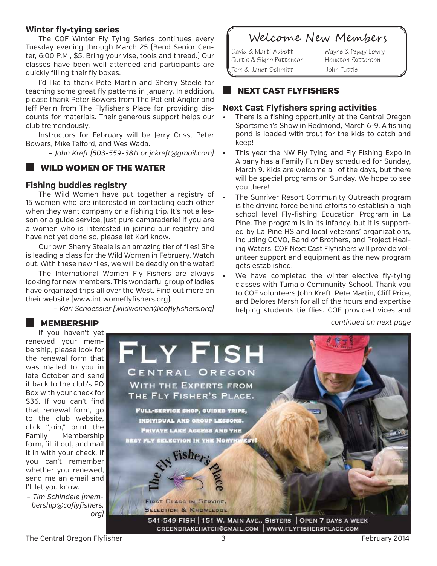# **Winter fly-tying series**

The COF Winter Fly Tying Series continues every Tuesday evening through March 25 (Bend Senior Center, 6:00 P.M., \$5, Bring your vise, tools and thread.) Our classes have been well attended and participants are quickly filling their fly boxes.

I'd like to thank Pete Martin and Sherry Steele for teaching some great fly patterns in January. In addition, please thank Peter Bowers from The Patient Angler and Jeff Perin from The Flyfisher's Place for providing discounts for materials. Their generous support helps our club tremendously.

Instructors for February will be Jerry Criss, Peter Bowers, Mike Telford, and Wes Wada.

*– John Kreft (503-559-3811 or jckreft@gmail.com)*

# wild women of the water

# **Fishing buddies registry**

The Wild Women have put together a registry of 15 women who are interested in contacting each other when they want company on a fishing trip. It's not a lesson or a guide service, just pure camaraderie! If you are a women who is interested in joining our registry and have not yet done so, please let Kari know.

Our own Sherry Steele is an amazing tier of flies! She is leading a class for the Wild Women in February. Watch out. With these new flies, we will be deadly on the water!

The International Women Fly Fishers are always looking for new members. This wonderful group of ladies have organized trips all over the West. Find out more on their website (www.intlwomeflyfishers.org).

*– Kari Schoessler (wildwomen@coflyfishers.org)*

# Welcome New Members

David & Marti Abbott Wayne & Peggy Lowry Curtis & Signe Patterson Houston Patterson Tom & Janet Schmitt John Tuttle

# next cast flyfishers

#### **Next Cast Flyfishers spring activities**

- There is a fishing opportunity at the Central Oregon Sportsmen's Show in Redmond, March 6-9. A fishing pond is loaded with trout for the kids to catch and keep!
- This year the NW Fly Tying and Fly Fishing Expo in Albany has a Family Fun Day scheduled for Sunday, March 9. Kids are welcome all of the days, but there will be special programs on Sunday. We hope to see you there!
- The Sunriver Resort Community Outreach program is the driving force behind efforts to establish a high school level Fly-fishing Education Program in La Pine. The program is in its infancy, but it is supported by La Pine HS and local veterans' organizations, including COVO, Band of Brothers, and Project Healing Waters. COF Next Cast Flyfishers will provide volunteer support and equipment as the new program gets established.
- We have completed the winter elective fly-tying classes with Tumalo Community School. Thank you to COF volunteers John Kreft, Pete Martin, Cliff Price, and Delores Marsh for all of the hours and expertise helping students tie flies. COF provided vices and

*continued on next page*

# **MEMBERSHIP**

If you haven't yet renewed your membership, please look for the renewal form that was mailed to you in late October and send it back to the club's PO Box with your check for \$36. If you can't find that renewal form, go to the club website, click "Join," print the Family Membership form, fill it out, and mail it in with your check. If you can't remember whether you renewed, send me an email and I'll let you know.

*– Tim Schindele (membership@coflyfishers. org)* 

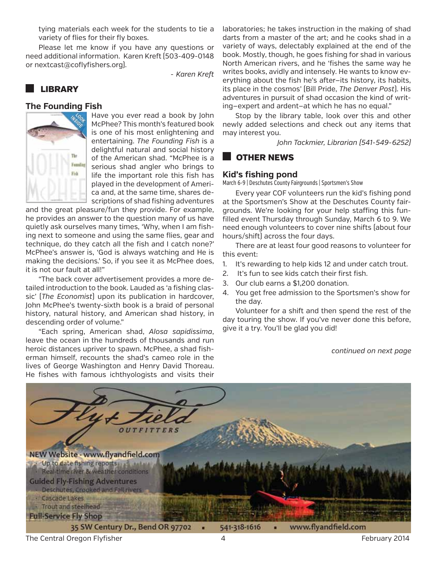tying materials each week for the students to tie a variety of flies for their fly boxes.

Please let me know if you have any questions or need additional information. Karen Kreft (503-409-0148 or nextcast@coflyfishers.org).

*- Karen Kreft*

# **LIBRARY**

#### **The Founding Fish**



Have you ever read a book by John McPhee? This month's featured book is one of his most enlightening and entertaining. *The Founding Fish* is a delightful natural and social history of the American shad. "McPhee is a serious shad angler who brings to life the important role this fish has played in the development of America and, at the same time, shares descriptions of shad fishing adventures

and the great pleasure/fun they provide. For example, he provides an answer to the question many of us have quietly ask ourselves many times, 'Why, when I am fishing next to someone and using the same flies, gear and technique, do they catch all the fish and I catch none?' McPhee's answer is, 'God is always watching and He is making the decisions.' So, if you see it as McPhee does, it is not our fault at all!"

"The back cover advertisement provides a more detailed introduction to the book. Lauded as 'a fishing classic' (*The Economist*) upon its publication in hardcover, John McPhee's twenty-sixth book is a braid of personal history, natural history, and American shad history, in descending order of volume."

"Each spring, American shad, *Alosa sapidissima*, leave the ocean in the hundreds of thousands and run heroic distances upriver to spawn. McPhee, a shad fisherman himself, recounts the shad's cameo role in the lives of George Washington and Henry David Thoreau. He fishes with famous ichthyologists and visits their laboratories; he takes instruction in the making of shad darts from a master of the art; and he cooks shad in a variety of ways, delectably explained at the end of the book. Mostly, though, he goes fishing for shad in various North American rivers, and he 'fishes the same way he writes books, avidly and intensely. He wants to know everything about the fish he's after—its history, its habits, its place in the cosmos' (Bill Pride, *The Denver Post*). His adventures in pursuit of shad occasion the kind of writing—expert and ardent—at which he has no equal."

Stop by the library table, look over this and other newly added selections and check out any items that may interest you.

*John Tackmier, Librarian (541-549-6252)*

# other news

# **Kid's fishing pond**

March 6-9 | Deschutes County Fairgrounds | Sportsmen's Show

Every year COF volunteers run the kid's fishing pond at the Sportsmen's Show at the Deschutes County fairgrounds. We're looking for your help staffing this funfilled event Thursday through Sunday, March 6 to 9. We need enough volunteers to cover nine shifts (about four hours/shift) across the four days.

There are at least four good reasons to volunteer for this event:

- 1. It's rewarding to help kids 12 and under catch trout.
- 2. It's fun to see kids catch their first fish.
- 3. Our club earns a \$1,200 donation.
- 4. You get free admission to the Sportsmen's show for the day.

Volunteer for a shift and then spend the rest of the day touring the show. If you've never done this before, give it a try. You'll be glad you did!

*continued on next page*



The Central Oregon Flyfisher **1988** and 2014 **All 2014 February 2014**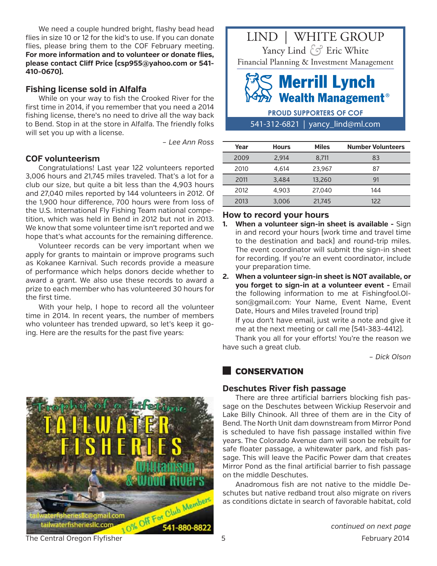We need a couple hundred bright, flashy bead head flies in size 10 or 12 for the kid's to use. If you can donate flies, please bring them to the COF February meeting. **For more information and to volunteer or donate flies, please contact Cliff Price (csp955@yahoo.com or 541- 410-0670).**

#### **Fishing license sold in Alfalfa**

While on your way to fish the Crooked River for the first time in 2014, if you remember that you need a 2014 fishing license, there's no need to drive all the way back to Bend. Stop in at the store in Alfalfa. The friendly folks will set you up with a license.

*– Lee Ann Ross*

#### **COF volunteerism**

Congratulations! Last year 122 volunteers reported 3,006 hours and 21,745 miles traveled. That's a lot for a club our size, but quite a bit less than the 4,903 hours and 27,040 miles reported by 144 volunteers in 2012. Of the 1,900 hour difference, 700 hours were from loss of the U.S. International Fly Fishing Team national competition, which was held in Bend in 2012 but not in 2013. We know that some volunteer time isn't reported and we hope that's what accounts for the remaining difference.

Volunteer records can be very important when we apply for grants to maintain or improve programs such as Kokanee Karnival. Such records provide a measure of performance which helps donors decide whether to award a grant. We also use these records to award a prize to each member who has volunteered 30 hours for the first time.

With your help, I hope to record all the volunteer time in 2014. In recent years, the number of members who volunteer has trended upward, so let's keep it going. Here are the results for the past five years:





# **Wealth Management<sup>®</sup>**

541-312-6821 | yancy\_lind@ml.com **PROUD SUPPORTERS OF COF**

| Year | <b>Hours</b> | <b>Miles</b> | <b>Number Volunteers</b> |
|------|--------------|--------------|--------------------------|
| 2009 | 2.914        | 8.711        | 83                       |
| 2010 | 4.614        | 23,967       | 87                       |
| 2011 | 3,484        | 13,260       | 91                       |
| 2012 | 4.903        | 27,040       | 144                      |
| 2013 | 3,006        | 21,745       | 122                      |

# **How to record your hours**

- **1. When a volunteer sign-in sheet is available** Sign in and record your hours (work time and travel time to the destination and back) and round-trip miles. The event coordinator will submit the sign-in sheet for recording. If you're an event coordinator, include your preparation time.
- **2. When a volunteer sign-in sheet is NOT available, or you forget to sign-in at a volunteer event -** Email the following information to me at Fishingfool.Olson@gmail.com: Your Name, Event Name, Event Date, Hours and Miles traveled (round trip)

If you don't have email, just write a note and give it me at the next meeting or call me (541-383-4412).

Thank you all for your efforts! You're the reason we have such a great club.

*– Dick Olson*

# **CONSERVATION**

#### **Deschutes River fish passage**

There are three artificial barriers blocking fish passage on the Deschutes between Wickiup Reservoir and Lake Billy Chinook. All three of them are in the City of Bend. The North Unit dam downstream from Mirror Pond is scheduled to have fish passage installed within five years. The Colorado Avenue dam will soon be rebuilt for safe floater passage, a whitewater park, and fish passage. This will leave the Pacific Power dam that creates Mirror Pond as the final artificial barrier to fish passage on the middle Deschutes.

Anadromous fish are not native to the middle Deschutes but native redband trout also migrate on rivers as conditions dictate in search of favorable habitat, cold

*continued on next page*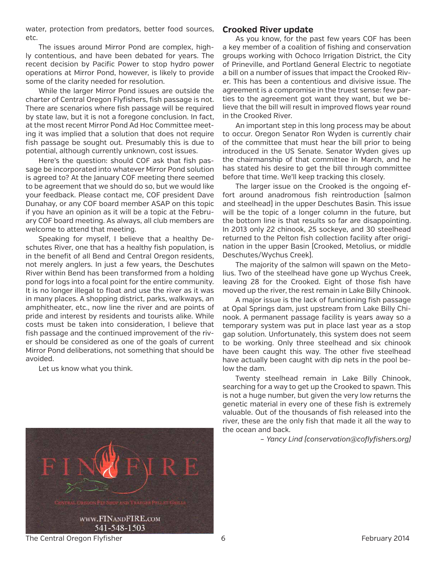water, protection from predators, better food sources, etc.

The issues around Mirror Pond are complex, highly contentious, and have been debated for years. The recent decision by Pacific Power to stop hydro power operations at Mirror Pond, however, is likely to provide some of the clarity needed for resolution.

While the larger Mirror Pond issues are outside the charter of Central Oregon Flyfishers, fish passage is not. There are scenarios where fish passage will be required by state law, but it is not a foregone conclusion. In fact, at the most recent Mirror Pond Ad Hoc Committee meeting it was implied that a solution that does not require fish passage be sought out. Presumably this is due to potential, although currently unknown, cost issues.

Here's the question: should COF ask that fish passage be incorporated into whatever Mirror Pond solution is agreed to? At the January COF meeting there seemed to be agreement that we should do so, but we would like your feedback. Please contact me, COF president Dave Dunahay, or any COF board member ASAP on this topic if you have an opinion as it will be a topic at the February COF board meeting. As always, all club members are welcome to attend that meeting.

Speaking for myself, I believe that a healthy Deschutes River, one that has a healthy fish population, is in the benefit of all Bend and Central Oregon residents, not merely anglers. In just a few years, the Deschutes River within Bend has been transformed from a holding pond for logs into a focal point for the entire community. It is no longer illegal to float and use the river as it was in many places. A shopping district, parks, walkways, an amphitheater, etc., now line the river and are points of pride and interest by residents and tourists alike. While costs must be taken into consideration, I believe that fish passage and the continued improvement of the river should be considered as one of the goals of current Mirror Pond deliberations, not something that should be avoided.

Let us know what you think.



# **Crooked River update**

As you know, for the past few years COF has been a key member of a coalition of fishing and conservation groups working with Ochoco Irrigation District, the City of Prineville, and Portland General Electric to negotiate a bill on a number of issues that impact the Crooked River. This has been a contentious and divisive issue. The agreement is a compromise in the truest sense: few parties to the agreement got want they want, but we believe that the bill will result in improved flows year round in the Crooked River.

An important step in this long process may be about to occur. Oregon Senator Ron Wyden is currently chair of the committee that must hear the bill prior to being introduced in the US Senate. Senator Wyden gives up the chairmanship of that committee in March, and he has stated his desire to get the bill through committee before that time. We'll keep tracking this closely.

The larger issue on the Crooked is the ongoing effort around anadromous fish reintroduction (salmon and steelhead) in the upper Deschutes Basin. This issue will be the topic of a longer column in the future, but the bottom line is that results so far are disappointing. In 2013 only 22 chinook, 25 sockeye, and 30 steelhead returned to the Pelton fish collection facility after origination in the upper Basin (Crooked, Metolius, or middle Deschutes/Wychus Creek).

The majority of the salmon will spawn on the Metolius. Two of the steelhead have gone up Wychus Creek, leaving 28 for the Crooked. Eight of those fish have moved up the river, the rest remain in Lake Billy Chinook.

A major issue is the lack of functioning fish passage at Opal Springs dam, just upstream from Lake Billy Chinook. A permanent passage facility is years away so a temporary system was put in place last year as a stop gap solution. Unfortunately, this system does not seem to be working. Only three steelhead and six chinook have been caught this way. The other five steelhead have actually been caught with dip nets in the pool below the dam.

Twenty steelhead remain in Lake Billy Chinook, searching for a way to get up the Crooked to spawn. This is not a huge number, but given the very low returns the genetic material in every one of these fish is extremely valuable. Out of the thousands of fish released into the river, these are the only fish that made it all the way to the ocean and back.

*– Yancy Lind (conservation@coflyfishers.org)* 

The Central Oregon Flyfisher 6 February 2014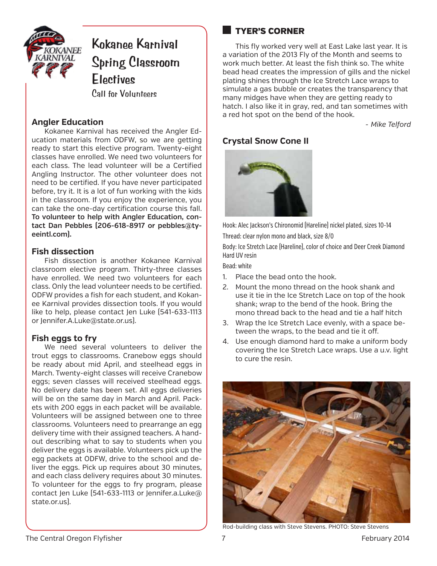

# **Kokanee Karnival Spring Classroom Electives** Call for Volunteers

# **Angler Education**

Kokanee Karnival has received the Angler Education materials from ODFW, so we are getting ready to start this elective program. Twenty-eight classes have enrolled. We need two volunteers for each class. The lead volunteer will be a Certified Angling Instructor. The other volunteer does not need to be certified. If you have never participated before, try it. It is a lot of fun working with the kids in the classroom. If you enjoy the experience, you can take the one-day certification course this fall. **To volunteer to help with Angler Education, contact Dan Pebbles (206-618-8917 or pebbles@tyeeintl.com).**

# **Fish dissection**

Fish dissection is another Kokanee Karnival classroom elective program. Thirty-three classes have enrolled. We need two volunteers for each class. Only the lead volunteer needs to be certified. ODFW provides a fish for each student, and Kokanee Karnival provides dissection tools. If you would like to help, please contact Jen Luke (541-633-1113 or Jennifer.A.Luke@state.or.us).

# **Fish eggs to fry**

We need several volunteers to deliver the trout eggs to classrooms. Cranebow eggs should be ready about mid April, and steelhead eggs in March. Twenty-eight classes will receive Cranebow eggs; seven classes will received steelhead eggs. No delivery date has been set. All eggs deliveries will be on the same day in March and April. Packets with 200 eggs in each packet will be available. Volunteers will be assigned between one to three classrooms. Volunteers need to prearrange an egg delivery time with their assigned teachers. A handout describing what to say to students when you deliver the eggs is available. Volunteers pick up the egg packets at ODFW, drive to the school and deliver the eggs. Pick up requires about 30 minutes, and each class delivery requires about 30 minutes. To volunteer for the eggs to fry program, please contact Jen Luke (541-633-1113 or Jennifer.a.Luke@ state.or.us).

# tyer's corner

This fly worked very well at East Lake last year. It is a variation of the 2013 Fly of the Month and seems to work much better. At least the fish think so. The white bead head creates the impression of gills and the nickel plating shines through the Ice Stretch Lace wraps to simulate a gas bubble or creates the transparency that many midges have when they are getting ready to hatch. I also like it in gray, red, and tan sometimes with a red hot spot on the bend of the hook.

*- Mike Telford*

# **Crystal Snow Cone II**



Hook: Alec Jackson's Chironomid (Hareline) nickel plated, sizes 10-14 Thread: clear nylon mono and black, size 8/0

Body: Ice Stretch Lace (Hareline), color of choice and Deer Creek Diamond Hard UV resin

Bead: white

- 1. Place the bead onto the hook.
- 2. Mount the mono thread on the hook shank and use it tie in the Ice Stretch Lace on top of the hook shank; wrap to the bend of the hook. Bring the mono thread back to the head and tie a half hitch
- 3. Wrap the Ice Stretch Lace evenly, with a space between the wraps, to the bead and tie it off.
- 4. Use enough diamond hard to make a uniform body covering the Ice Stretch Lace wraps. Use a u.v. light to cure the resin.



Rod-building class with Steve Stevens. PHOTO: Steve Stevens